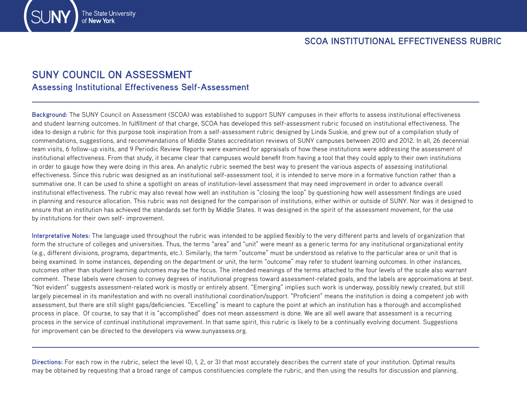## **SUNY COUNCIL ON ASSESSMENT Assessing Institutional Effectiveness Self-Assessment**

The State University

**Background:** The SUNY Council on Assessment (SCOA) was established to support SUNY campuses in their efforts to assess institutional effectiveness and student learning outcomes. In fulfillment of that charge, SCOA has developed this self-assessment rubric focused on institutional effectiveness. The idea to design a rubric for this purpose took inspiration from a self-assessment rubric designed by Linda Suskie, and grew out of a compilation study of commendations, suggestions, and recommendations of Middle States accreditation reviews of SUNY campuses between 2010 and 2012. In all, 26 decennial team visits, 6 follow-up visits, and 9 Periodic Review Reports were examined for appraisals of how these institutions were addressing the assessment of institutional effectiveness. From that study, it became clear that campuses would benefit from having a tool that they could apply to their own institutions in order to gauge how they were doing in this area. An analytic rubric seemed the best way to present the various aspects of assessing institutional effectiveness. Since this rubric was designed as an institutional self-assessment tool, it is intended to serve more in a formative function rather than a summative one. It can be used to shine a spotlight on areas of institution-level assessment that may need improvement in order to advance overall institutional effectiveness. The rubric may also reveal how well an institution is "closing the loop" by questioning how well assessment findings are used in planning and resource allocation. This rubric was not designed for the comparison of institutions, either within or outside of SUNY. Nor was it designed to ensure that an institution has achieved the standards set forth by Middle States. It was designed in the spirit of the assessment movement, for the use by institutions for their own self- improvement.

**Interpretative Notes:** The language used throughout the rubric was intended to be applied flexibly to the very different parts and levels of organization that form the structure of colleges and universities. Thus, the terms "area" and "unit" were meant as a generic terms for any institutional organizational entity (e.g., different divisions, programs, departments, etc.). Similarly, the term "outcome" must be understood as relative to the particular area or unit that is being examined. In some instances, depending on the department or unit, the term "outcome" may refer to student learning outcomes. In other instances, outcomes other than student learning outcomes may be the focus. The intended meanings of the terms attached to the four levels of the scale also warrant comment. These labels were chosen to convey degrees of institutional progress toward assessment-related goals, and the labels are approximations at best. "Not evident" suggests assessment-related work is mostly or entirely absent. "Emerging" implies such work is underway, possibly newly created, but still largely piecemeal in its manifestation and with no overall institutional coordination/support. "Proficient" means the institution is doing a competent job with assessment, but there are still slight gaps/deficiencies. "Excelling" is meant to capture the point at which an institution has a thorough and accomplished process in place. Of course, to say that it is "accomplished" does not mean assessment is done. We are all well aware that assessment is a recurring process in the service of continual institutional improvement. In that same spirit, this rubric is likely to be a continually evolving document. Suggestions for improvement can be directed to the developers via www.sunyassess.org.

**Directions:** For each row in the rubric, select the level (0, 1, 2, or 3) that most accurately describes the current state of your institution. Optimal results may be obtained by requesting that a broad range of campus constituencies complete the rubric, and then using the results for discussion and planning.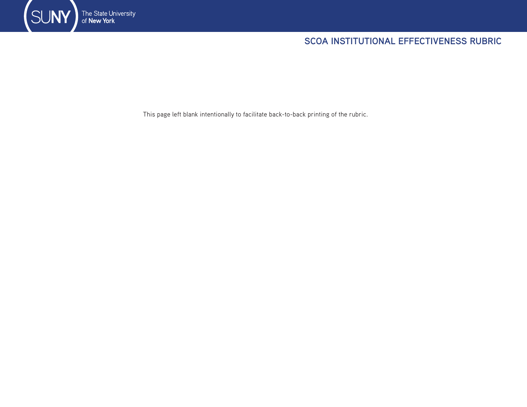

## **SCOA INSTITUTIONAL EFFECTIVENESS RUBRIC**

This page left blank intentionally to facilitate back-to-back printing of the rubric.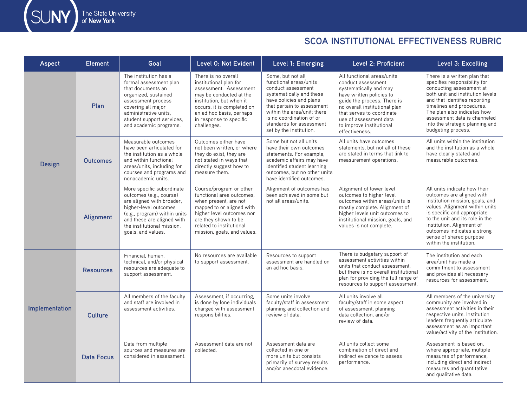SUNY The State University<br>of **New York** 

## **SCOA INSTITUTIONAL EFFECTIVENESS RUBRIC**

| Aspect         | <b>Element</b>    | Goal                                                                                                                                                                                                                         | Level 0: Not Evident                                                                                                                                                                                                               | Level 1: Emerging                                                                                                                                                                                                                                                        | Level 2: Proficient                                                                                                                                                                                                                                                         | Level 3: Excelling                                                                                                                                                                                                                                                                                                 |
|----------------|-------------------|------------------------------------------------------------------------------------------------------------------------------------------------------------------------------------------------------------------------------|------------------------------------------------------------------------------------------------------------------------------------------------------------------------------------------------------------------------------------|--------------------------------------------------------------------------------------------------------------------------------------------------------------------------------------------------------------------------------------------------------------------------|-----------------------------------------------------------------------------------------------------------------------------------------------------------------------------------------------------------------------------------------------------------------------------|--------------------------------------------------------------------------------------------------------------------------------------------------------------------------------------------------------------------------------------------------------------------------------------------------------------------|
| <b>Design</b>  | Plan              | The institution has a<br>formal assessment plan<br>that documents an<br>organized, sustained<br>assessment process<br>covering all major<br>administrative units.<br>student support services,<br>and academic programs.     | There is no overall<br>institutional plan for<br>assessment. Assessment<br>may be conducted at the<br>institution, but when it<br>occurs, it is completed on<br>an ad hoc basis, perhaps<br>in response to specific<br>challenges. | Some, but not all<br>functional areas/units<br>conduct assessment<br>systematically and these<br>have policies and plans<br>that pertain to assessment<br>within the area/unit: there<br>is no coordination of or<br>standards for assessment<br>set by the institution. | All functional areas/units<br>conduct assessment<br>systematically and may<br>have written policies to<br>guide the process. There is<br>no overall institutional plan<br>that serves to coordinate<br>use of assessment data<br>to improve institutional<br>effectiveness. | There is a written plan that<br>specifies responsibility for<br>conducting assessment at<br>both unit and institution levels<br>and that identifies reporting<br>timelines and procedures.<br>The plan also indicates how<br>assessment data is channeled<br>into the strategic planning and<br>budgeting process. |
|                | <b>Outcomes</b>   | Measurable outcomes<br>have been articulated for<br>the institution as a whole<br>and within functional<br>areas/units, including for<br>courses and programs and<br>nonacademic units.                                      | Outcomes either have<br>not been written, or where<br>they do exist, they are<br>not stated in ways that<br>directly suggest how to<br>measure them.                                                                               | Some but not all units<br>have their own outcomes<br>statements. For example,<br>academic affairs may have<br>identified student learning<br>outcomes, but no other units<br>have identified outcomes.                                                                   | All units have outcomes<br>statements, but not all of these<br>are stated in terms that link to<br>measurement operations.                                                                                                                                                  | All units within the institution<br>and the institution as a whole<br>have clearly stated and<br>measurable outcomes.                                                                                                                                                                                              |
|                | Alignment         | More specific subordinate<br>outcomes (e.g., course)<br>are aligned with broader.<br>higher-level outcomes<br>(e.g., program) within units<br>and these are aligned with<br>the institutional mission.<br>goals, and values. | Course/program or other<br>functional area outcomes.<br>when present, are not<br>mapped to or aligned with<br>higher level outcomes nor<br>are they shown to be<br>related to institutional<br>mission, goals, and values.         | Alignment of outcomes has<br>been achieved in some but<br>not all areas/units.                                                                                                                                                                                           | Alignment of lower level<br>outcomes to higher level<br>outcomes within areas/units is<br>mostly complete. Alignment of<br>higher levels unit outcomes to<br>institutional mission, goals, and<br>values is not complete.                                                   | All units indicate how their<br>outcomes are aligned with<br>institution mission, goals, and<br>values. Alignment within units<br>is specific and appropriate<br>to the unit and its role in the<br>institution. Alignment of<br>outcomes indicates a strong<br>sense of shared purpose<br>within the institution. |
| Implementation | <b>Resources</b>  | Financial, human,<br>technical, and/or physical<br>resources are adequate to<br>support assessment.                                                                                                                          | No resources are available<br>to support assessment.                                                                                                                                                                               | Resources to support<br>assessment are handled on<br>an ad hoc basis.                                                                                                                                                                                                    | There is budgetary support of<br>assessment activities within<br>units that conduct assessment.<br>but there is no overall institutional<br>plan for providing the full range of<br>resources to support assessment.                                                        | The institution and each<br>area/unit has made a<br>commitment to assessment<br>and provides all necessary<br>resources for assessment.                                                                                                                                                                            |
|                | Culture           | All members of the faculty<br>and staff are involved in<br>assessment activities.                                                                                                                                            | Assessment, if occurring,<br>is done by lone individuals<br>charged with assessment<br>responsibilities.                                                                                                                           | Some units involve<br>faculty/staff in assessment<br>planning and collection and<br>review of data.                                                                                                                                                                      | All units involve all<br>faculty/staff in some aspect<br>of assessment, planning<br>data collection, and/or<br>review of data.                                                                                                                                              | All members of the university<br>community are involved in<br>assessment activities in their<br>respective units. Institution<br>leaders frequently articulate<br>assessment as an important<br>value/activity of the institution.                                                                                 |
|                | <b>Data Focus</b> | Data from multiple<br>sources and measures are<br>considered in assessment.                                                                                                                                                  | Assessment data are not<br>collected.                                                                                                                                                                                              | Assessment data are<br>collected in one or<br>more units but consists<br>primarily of survey results<br>and/or anecdotal evidence.                                                                                                                                       | All units collect some<br>combination of direct and<br>indirect evidence to assess<br>performance.                                                                                                                                                                          | Assessment is based on.<br>where appropriate, multiple<br>measures of performance.<br>including direct and indirect<br>measures and quantitative<br>and qualitative data.                                                                                                                                          |